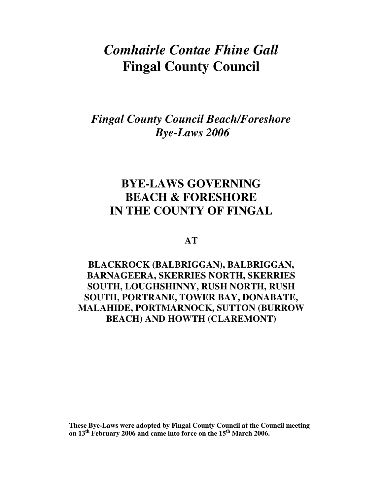# *Comhairle Contae Fhine Gall*  **Fingal County Council**

# *Fingal County Council Beach/Foreshore Bye-Laws 2006*

# **BYE-LAWS GOVERNING BEACH & FORESHORE IN THE COUNTY OF FINGAL**

## **AT**

# **BLACKROCK (BALBRIGGAN), BALBRIGGAN, BARNAGEERA, SKERRIES NORTH, SKERRIES SOUTH, LOUGHSHINNY, RUSH NORTH, RUSH SOUTH, PORTRANE, TOWER BAY, DONABATE, MALAHIDE, PORTMARNOCK, SUTTON (BURROW BEACH) AND HOWTH (CLAREMONT)**

**These Bye-Laws were adopted by Fingal County Council at the Council meeting on 13th February 2006 and came into force on the 15th March 2006.**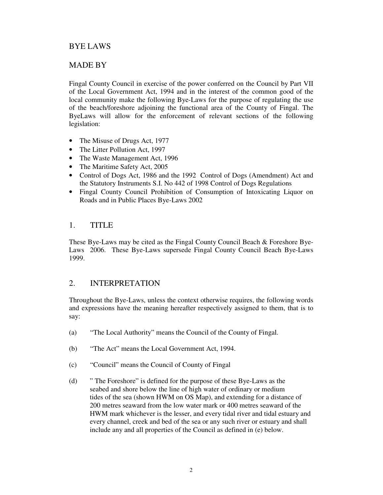## BYE LAWS

### MADE BY

Fingal County Council in exercise of the power conferred on the Council by Part VII of the Local Government Act, 1994 and in the interest of the common good of the local community make the following Bye-Laws for the purpose of regulating the use of the beach/foreshore adjoining the functional area of the County of Fingal. The ByeLaws will allow for the enforcement of relevant sections of the following legislation:

- The Misuse of Drugs Act, 1977
- The Litter Pollution Act, 1997
- The Waste Management Act, 1996
- The Maritime Safety Act, 2005
- Control of Dogs Act, 1986 and the 1992 Control of Dogs (Amendment) Act and the Statutory Instruments S.I. No 442 of 1998 Control of Dogs Regulations
- Fingal County Council Prohibition of Consumption of Intoxicating Liquor on Roads and in Public Places Bye-Laws 2002

#### 1. TITLE

These Bye-Laws may be cited as the Fingal County Council Beach & Foreshore Bye-Laws 2006. These Bye-Laws supersede Fingal County Council Beach Bye-Laws 1999.

### 2. INTERPRETATION

Throughout the Bye-Laws, unless the context otherwise requires, the following words and expressions have the meaning hereafter respectively assigned to them, that is to say:

- (a) "The Local Authority" means the Council of the County of Fingal.
- (b) "The Act" means the Local Government Act, 1994.
- (c) "Council" means the Council of County of Fingal
- (d) " The Foreshore" is defined for the purpose of these Bye-Laws as the seabed and shore below the line of high water of ordinary or medium tides of the sea (shown HWM on OS Map), and extending for a distance of 200 metres seaward from the low water mark or 400 metres seaward of the HWM mark whichever is the lesser, and every tidal river and tidal estuary and every channel, creek and bed of the sea or any such river or estuary and shall include any and all properties of the Council as defined in (e) below.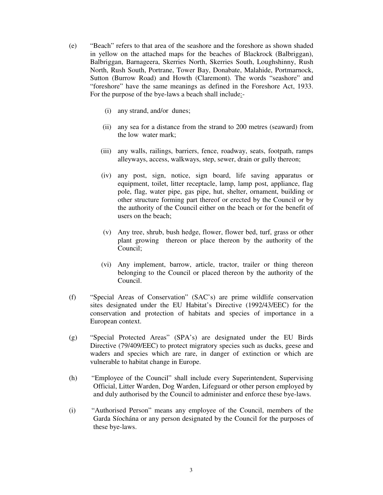- (e) "Beach" refers to that area of the seashore and the foreshore as shown shaded in yellow on the attached maps for the beaches of Blackrock (Balbriggan), Balbriggan, Barnageera, Skerries North, Skerries South, Loughshinny, Rush North, Rush South, Portrane, Tower Bay, Donabate, Malahide, Portmarnock, Sutton (Burrow Road) and Howth (Claremont). The words "seashore" and "foreshore" have the same meanings as defined in the Foreshore Act, 1933. For the purpose of the bye-laws a beach shall include:
	- (i) any strand, and/or dunes;
	- (ii) any sea for a distance from the strand to 200 metres (seaward) from the low water mark;
	- (iii) any walls, railings, barriers, fence, roadway, seats, footpath, ramps alleyways, access, walkways, step, sewer, drain or gully thereon;
	- (iv) any post, sign, notice, sign board, life saving apparatus or equipment, toilet, litter receptacle, lamp, lamp post, appliance, flag pole, flag, water pipe, gas pipe, hut, shelter, ornament, building or other structure forming part thereof or erected by the Council or by the authority of the Council either on the beach or for the benefit of users on the beach;
	- (v) Any tree, shrub, bush hedge, flower, flower bed, turf, grass or other plant growing thereon or place thereon by the authority of the Council;
	- (vi) Any implement, barrow, article, tractor, trailer or thing thereon belonging to the Council or placed thereon by the authority of the Council.
- (f) "Special Areas of Conservation" (SAC's) are prime wildlife conservation sites designated under the EU Habitat's Directive (1992/43/EEC) for the conservation and protection of habitats and species of importance in a European context.
- (g) "Special Protected Areas" (SPA's) are designated under the EU Birds Directive (79/409/EEC) to protect migratory species such as ducks, geese and waders and species which are rare, in danger of extinction or which are vulnerable to habitat change in Europe.
- (h) "Employee of the Council" shall include every Superintendent, Supervising Official, Litter Warden, Dog Warden, Lifeguard or other person employed by and duly authorised by the Council to administer and enforce these bye-laws.
- (i) "Authorised Person" means any employee of the Council, members of the Garda Síochána or any person designated by the Council for the purposes of these bye-laws.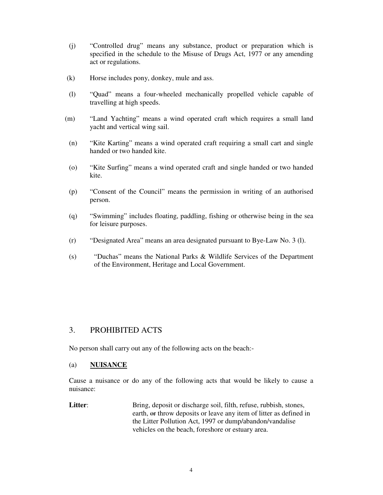- (j) "Controlled drug" means any substance, product or preparation which is specified in the schedule to the Misuse of Drugs Act, 1977 or any amending act or regulations.
- (k) Horse includes pony, donkey, mule and ass.
- (l) "Quad" means a four-wheeled mechanically propelled vehicle capable of travelling at high speeds.
- (m) "Land Yachting" means a wind operated craft which requires a small land yacht and vertical wing sail.
- (n) "Kite Karting" means a wind operated craft requiring a small cart and single handed or two handed kite.
- (o) "Kite Surfing" means a wind operated craft and single handed or two handed kite.
- (p) "Consent of the Council" means the permission in writing of an authorised person.
- (q) "Swimming" includes floating, paddling, fishing or otherwise being in the sea for leisure purposes.
- (r) "Designated Area" means an area designated pursuant to Bye-Law No. 3 (l).
- (s) "Duchas" means the National Parks & Wildlife Services of the Department of the Environment, Heritage and Local Government.

### 3. PROHIBITED ACTS

No person shall carry out any of the following acts on the beach:-

#### (a) **NUISANCE**

Cause a nuisance or do any of the following acts that would be likely to cause a nuisance:

**Litter:** Bring, deposit or discharge soil, filth, refuse, rubbish, stones, earth,  $\Theta$  et throw deposits or leave any item of litter as defined in the Litter Pollution Act, 1997 or dump/abandon/vandalise vehicles on the beach, foreshore or estuary area.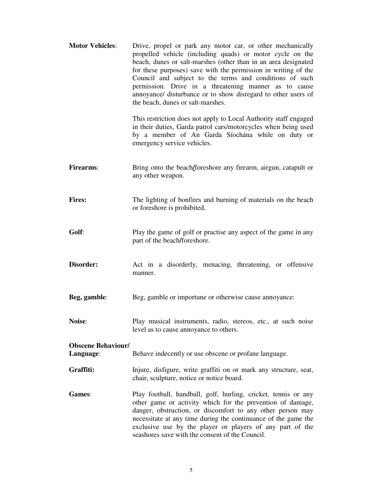| <b>Motor Vehicles:</b>                 | Drive, propel or park any motor car, or other mechanically<br>propelled vehicle (including quads) or motor cycle on the<br>beach, dunes or salt-marshes (other than in an area designated<br>for these purposes) save with the permission in writing of the<br>Council and subject to the terms and conditions of such<br>permission. Drive in a threatening manner as to cause<br>annoyance/ disturbance or to show disregard to other users of<br>the beach, dunes or salt-marshes.<br>This restriction does not apply to Local Authority staff engaged<br>in their duties, Garda patrol cars/motorcycles when being used<br>by a member of An Garda Síochána while on duty or<br>emergency service vehicles. |
|----------------------------------------|-----------------------------------------------------------------------------------------------------------------------------------------------------------------------------------------------------------------------------------------------------------------------------------------------------------------------------------------------------------------------------------------------------------------------------------------------------------------------------------------------------------------------------------------------------------------------------------------------------------------------------------------------------------------------------------------------------------------|
| <b>Firearms:</b>                       | Bring onto the beach/foreshore any firearm, airgun, catapult or<br>any other weapon.                                                                                                                                                                                                                                                                                                                                                                                                                                                                                                                                                                                                                            |
| <b>Fires:</b>                          | The lighting of bonfires and burning of materials on the beach<br>or foreshore is prohibited.                                                                                                                                                                                                                                                                                                                                                                                                                                                                                                                                                                                                                   |
| Golf:                                  | Play the game of golf or practise any aspect of the game in any<br>part of the beach/foreshore.                                                                                                                                                                                                                                                                                                                                                                                                                                                                                                                                                                                                                 |
| Disorder:                              | Act in a disorderly, menacing, threatening, or offensive<br>manner.                                                                                                                                                                                                                                                                                                                                                                                                                                                                                                                                                                                                                                             |
| Beg, gamble:                           | Beg, gamble or importune or otherwise cause annoyance:                                                                                                                                                                                                                                                                                                                                                                                                                                                                                                                                                                                                                                                          |
| Noise:                                 | Play musical instruments, radio, stereos, etc., at such noise<br>level as to cause annoyance to others.                                                                                                                                                                                                                                                                                                                                                                                                                                                                                                                                                                                                         |
| <b>Obscene Behaviour/</b><br>Language: | Behave indecently or use obscene or profane language.                                                                                                                                                                                                                                                                                                                                                                                                                                                                                                                                                                                                                                                           |
| Graffiti:                              | Injure, disfigure, write graffiti on or mark any structure, seat,<br>chair, sculpture, notice or notice board.                                                                                                                                                                                                                                                                                                                                                                                                                                                                                                                                                                                                  |
| Games:                                 | Play football, handball, golf, hurling, cricket, tennis or any<br>other game or activity which for the prevention of damage,<br>danger, obstruction, or discomfort to any other person may<br>necessitate at any time during the continuance of the game the<br>exclusive use by the player or players of any part of the<br>seashores save with the consent of the Council.                                                                                                                                                                                                                                                                                                                                    |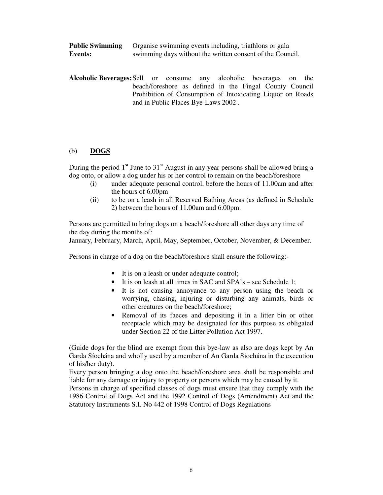| <b>Public Swimming</b> | Organise swimming events including, triathlons or gala    |
|------------------------|-----------------------------------------------------------|
| <b>Events:</b>         | swimming days without the written consent of the Council. |

**Alcoholic Beverages:** Sell or consume any alcoholic beverages on the beach/foreshore as defined in the Fingal County Council Prohibition of Consumption of Intoxicating Liquor on Roads and in Public Places Bye-Laws 2002 .

#### (b) **DOGS**

During the period  $1<sup>st</sup>$  June to  $31<sup>st</sup>$  August in any year persons shall be allowed bring a dog onto, or allow a dog under his or her control to remain on the beach/foreshore

- (i) under adequate personal control, before the hours of 11.00am and after the hours of 6.00pm
- (ii) to be on a leash in all Reserved Bathing Areas (as defined in Schedule 2) between the hours of 11.00am and 6.00pm.

Persons are permitted to bring dogs on a beach/foreshore all other days any time of the day during the months of:

January, February, March, April, May, September, October, November, & December.

Persons in charge of a dog on the beach**/**foreshore shall ensure the following:-

- It is on a leash or under adequate control;
- It is on leash at all times in SAC and SPA's see Schedule 1;
- It is not causing annoyance to any person using the beach or worrying, chasing, injuring or disturbing any animals, birds or other creatures on the beach/foreshore;
- Removal of its faeces and depositing it in a litter bin or other receptacle which may be designated for this purpose as obligated under Section 22 of the Litter Pollution Act 1997.

(Guide dogs for the blind are exempt from this bye-law as also are dogs kept by An Garda Síochána and wholly used by a member of An Garda Síochána in the execution of his/her duty).

Every person bringing a dog onto the beach/foreshore area shall be responsible and liable for any damage or injury to property or persons which may be caused by it.

Persons in charge of specified classes of dogs must ensure that they comply with the 1986 Control of Dogs Act and the 1992 Control of Dogs (Amendment) Act and the Statutory Instruments S.I. No 442 of 1998 Control of Dogs Regulations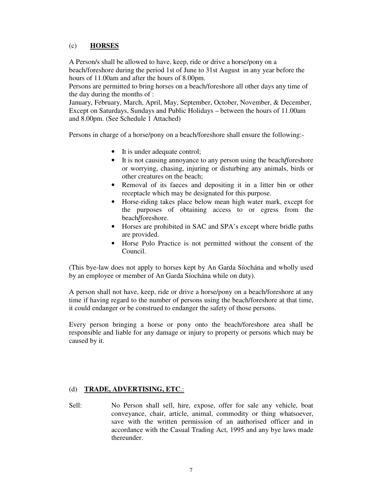#### (c) **HORSES**

A Person/s shall be allowed to have, keep, ride or drive a horse/pony on a beach/foreshore during the period 1st of June to 31st August in any year before the hours of 11.00am and after the hours of 8.00pm.

Persons are permitted to bring horses on a beach/foreshore all other days any time of the day during the months of :

January, February, March, April, May, September, October, November, & December, Except on Saturdays, Sundays and Public Holidays – between the hours of 11.00am and 8.00pm. (See Schedule 1 Attached)

Persons in charge of a horse/pony on a beach/foreshore shall ensure the following:-

- It is under adequate control;
- It is not causing annoyance to any person using the beach**/**foreshore or worrying, chasing, injuring or disturbing any animals, birds or other creatures on the beach;
- Removal of its faeces and depositing it in a litter bin or other receptacle which may be designated for this purpose.
- Horse-riding takes place below mean high water mark, except for the purposes of obtaining access to or egress from the beach**/**foreshore.
- Horses are prohibited in SAC and SPA's except where bridle paths are provided.
- Horse Polo Practice is not permitted without the consent of the Council.

(This bye-law does not apply to horses kept by An Garda Síochána and wholly used by an employee or member of An Garda Síochána while on duty).

A person shall not have, keep, ride or drive a horse/pony on a beach/foreshore at any time if having regard to the number of persons using the beach/foreshore at that time, it could endanger or be construed to endanger the safety of those persons.

Every person bringing a horse or pony onto the beach/foreshore area shall be responsible and liable for any damage or injury to property or persons which may be caused by it.

#### (d) **TRADE, ADVERTISING, ETC**.:

Sell: No Person shall sell, hire, expose, offer for sale any vehicle, boat conveyance, chair, article, animal, commodity or thing whatsoever, save with the written permission of an authorised officer and in accordance with the Casual Trading Act, 1995 and any bye laws made thereunder.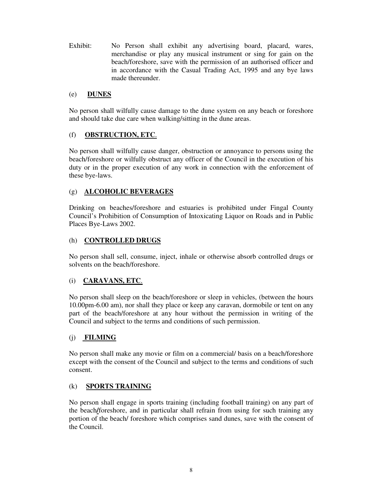Exhibit: No Person shall exhibit any advertising board, placard, wares, merchandise or play any musical instrument or sing for gain on the beach/foreshore, save with the permission of an authorised officer and in accordance with the Casual Trading Act, 1995 and any bye laws made thereunder.

#### (e) **DUNES**

No person shall wilfully cause damage to the dune system on any beach or foreshore and should take due care when walking/sitting in the dune areas.

#### (f) **OBSTRUCTION, ETC**.

No person shall wilfully cause danger, obstruction or annoyance to persons using the beach/foreshore or wilfully obstruct any officer of the Council in the execution of his duty or in the proper execution of any work in connection with the enforcement of these bye-laws.

#### (g) **ALCOHOLIC BEVERAGES**

Drinking on beaches/foreshore and estuaries is prohibited under Fingal County Council's Prohibition of Consumption of Intoxicating Liquor on Roads and in Public Places Bye-Laws 2002.

#### (h) **CONTROLLED DRUGS**

No person shall sell, consume, inject, inhale or otherwise absorb controlled drugs or solvents on the beach/foreshore.

#### (i) **CARAVANS, ETC**.

No person shall sleep on the beach/foreshore or sleep in vehicles, (between the hours 10.00pm-6.00 am), nor shall they place or keep any caravan, dormobile or tent on any part of the beach/foreshore at any hour without the permission in writing of the Council and subject to the terms and conditions of such permission.

#### (j) **FILMING**

No person shall make any movie or film on a commercial/ basis on a beach/foreshore except with the consent of the Council and subject to the terms and conditions of such consent.

#### (k) **SPORTS TRAINING**

No person shall engage in sports training (including football training) on any part of the beach**/**foreshore, and in particular shall refrain from using for such training any portion of the beach/ foreshore which comprises sand dunes, save with the consent of the Council.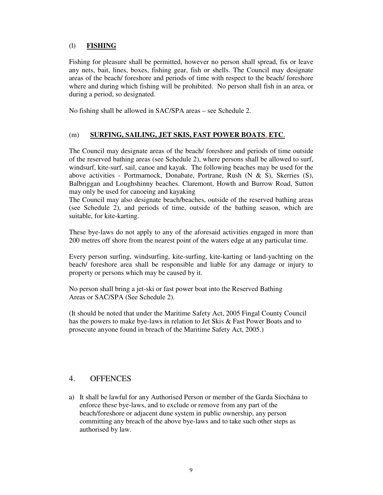#### (l) **FISHING**

Fishing for pleasure shall be permitted, however no person shall spread, fix or leave any nets, bait, lines, boxes, fishing gear, fish or shells. The Council may designate areas of the beach/ foreshore and periods of time with respect to the beach/ foreshore where and during which fishing will be prohibited. No person shall fish in an area, or during a period, so designated.

No fishing shall be allowed in SAC/SPA areas – see Schedule 2.

#### (m) **SURFING, SAILING, JET SKIS, FAST POWER BOATS**, **ETC**.

The Council may designate areas of the beach/ foreshore and periods of time outside of the reserved bathing areas (see Schedule 2), where persons shall be allowed to surf, windsurf, kite-surf, sail, canoe and kayak. The following beaches may be used for the above activities - Portmarnock, Donabate, Portrane, Rush (N & S), Skerries (S), Balbriggan and Loughshinny beaches. Claremont, Howth and Burrow Road, Sutton may only be used for canoeing and kayaking

The Council may also designate beach/beaches, outside of the reserved bathing areas (see Schedule 2), and periods of time, outside of the bathing season, which are suitable, for kite-karting.

These bye-laws do not apply to any of the aforesaid activities engaged in more than 200 metres off shore from the nearest point of the waters edge at any particular time.

Every person surfing, windsurfing, kite-surfing, kite-karting or land-yachting on the beach/ foreshore area shall be responsible and liable for any damage or injury to property or persons which may be caused by it.

No person shall bring a jet-ski or fast power boat into the Reserved Bathing Areas or SAC/SPA (See Schedule 2).

(It should be noted that under the Maritime Safety Act, 2005 Fingal County Council has the powers to make bye-laws in relation to Jet Skis & Fast Power Boats and to prosecute anyone found in breach of the Maritime Safety Act, 2005.)

## 4. OFFENCES

a) It shall be lawful for any Authorised Person or member of the Garda Síochána to enforce these bye-laws, and to exclude or remove from any part of the beach/foreshore or adjacent dune system in public ownership, any person committing any breach of the above bye-laws and to take such other steps as authorised by law.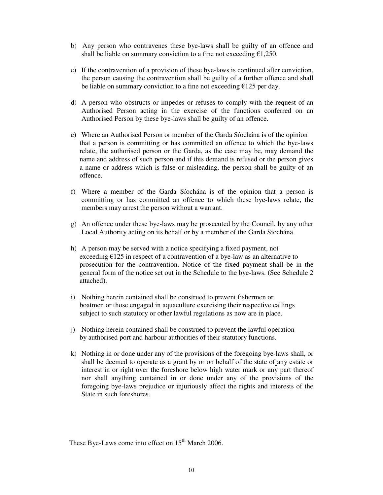- b) Any person who contravenes these bye-laws shall be guilty of an offence and shall be liable on summary conviction to a fine not exceeding  $\epsilon$ 1,250.
- c) If the contravention of a provision of these bye-laws is continued after conviction, the person causing the contravention shall be guilty of a further offence and shall be liable on summary conviction to a fine not exceeding  $\epsilon$ 125 per day.
- d) A person who obstructs or impedes or refuses to comply with the request of an Authorised Person acting in the exercise of the functions conferred on an Authorised Person by these bye-laws shall be guilty of an offence.
- e) Where an Authorised Person or member of the Garda Síochána is of the opinion that a person is committing or has committed an offence to which the bye-laws relate, the authorised person or the Garda, as the case may be, may demand the name and address of such person and if this demand is refused or the person gives a name or address which is false or misleading, the person shall be guilty of an offence.
- f) Where a member of the Garda Síochána is of the opinion that a person is committing or has committed an offence to which these bye-laws relate, the members may arrest the person without a warrant.
- g) An offence under these bye-laws may be prosecuted by the Council, by any other Local Authority acting on its behalf or by a member of the Garda Síochána.
- h) A person may be served with a notice specifying a fixed payment, not exceeding  $E125$  in respect of a contravention of a bye-law as an alternative to prosecution for the contravention. Notice of the fixed payment shall be in the general form of the notice set out in the Schedule to the bye-laws. (See Schedule 2 attached).
- i) Nothing herein contained shall be construed to prevent fishermen or boatmen or those engaged in aquaculture exercising their respective callings subject to such statutory or other lawful regulations as now are in place.
- j) Nothing herein contained shall be construed to prevent the lawful operation by authorised port and harbour authorities of their statutory functions.
- k) Nothing in or done under any of the provisions of the foregoing bye-laws shall, or shall be deemed to operate as a grant by or on behalf of the state of any estate or interest in or right over the foreshore below high water mark or any part thereof nor shall anything contained in or done under any of the provisions of the foregoing bye-laws prejudice or injuriously affect the rights and interests of the State in such foreshores.

These Bye-Laws come into effect on  $15<sup>th</sup>$  March 2006.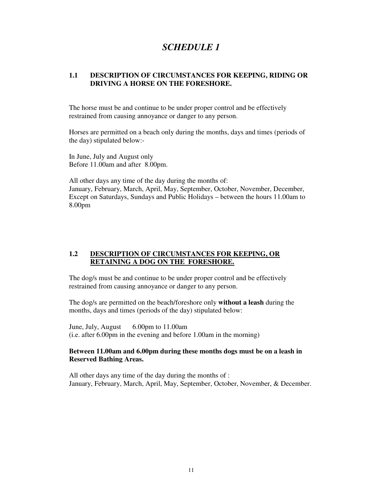# *SCHEDULE 1*

#### **1.1 DESCRIPTION OF CIRCUMSTANCES FOR KEEPING, RIDING OR DRIVING A HORSE ON THE FORESHORE.**

The horse must be and continue to be under proper control and be effectively restrained from causing annoyance or danger to any person.

Horses are permitted on a beach only during the months, days and times (periods of the day) stipulated below:-

In June, July and August only Before 11.00am and after 8.00pm.

All other days any time of the day during the months of: January, February, March, April, May, September, October, November, December, Except on Saturdays, Sundays and Public Holidays – between the hours 11.00am to 8.00pm

#### **1.2 DESCRIPTION OF CIRCUMSTANCES FOR KEEPING, OR RETAINING A DOG ON THE FORESHORE.**

The dog/s must be and continue to be under proper control and be effectively restrained from causing annoyance or danger to any person.

The dog/s are permitted on the beach/foreshore only **without a leash** during the months, days and times (periods of the day) stipulated below:

June, July, August 6.00pm to 11.00am (i.e. after 6.00pm in the evening and before 1.00am in the morning)

#### **Between 11.00am and 6.00pm during these months dogs must be on a leash in Reserved Bathing Areas.**

All other days any time of the day during the months of : January, February, March, April, May, September, October, November, & December.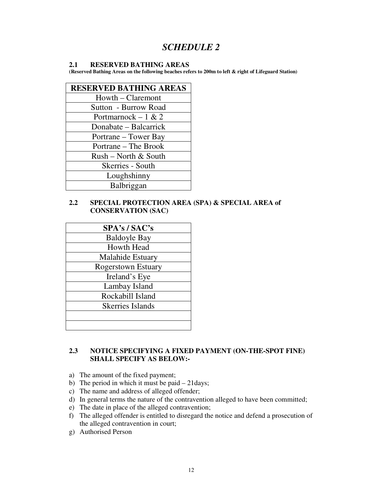# *SCHEDULE 2*

#### **2.1 RESERVED BATHING AREAS**

**(Reserved Bathing Areas on the following beaches refers to 200m to left & right of Lifeguard Station)** 

| <b>RESERVED BATHING AREAS</b> |  |
|-------------------------------|--|
| Howth – Claremont             |  |
| Sutton - Burrow Road          |  |
| Portmarnock – 1 & 2           |  |
| Donabate – Balcarrick         |  |
| Portrane – Tower Bay          |  |
| Portrane – The Brook          |  |
| Rush - North & South          |  |
| Skerries - South              |  |
| Loughshinny                   |  |
| Balbriggan                    |  |

#### **2.2 SPECIAL PROTECTION AREA (SPA) & SPECIAL AREA of CONSERVATION (SAC)**

| SPA's / SAC's             |
|---------------------------|
| <b>Baldoyle Bay</b>       |
| <b>Howth Head</b>         |
| Malahide Estuary          |
| <b>Rogerstown Estuary</b> |
| Ireland's Eye             |
| Lambay Island             |
| Rockabill Island          |
| <b>Skerries Islands</b>   |
|                           |
|                           |

#### **2.3 NOTICE SPECIFYING A FIXED PAYMENT (ON-THE-SPOT FINE) SHALL SPECIFY AS BELOW:-**

- a) The amount of the fixed payment;
- b) The period in which it must be paid 21days;
- c) The name and address of alleged offender;
- d) In general terms the nature of the contravention alleged to have been committed;
- e) The date in place of the alleged contravention;
- f) The alleged offender is entitled to disregard the notice and defend a prosecution of the alleged contravention in court;
- g) Authorised Person